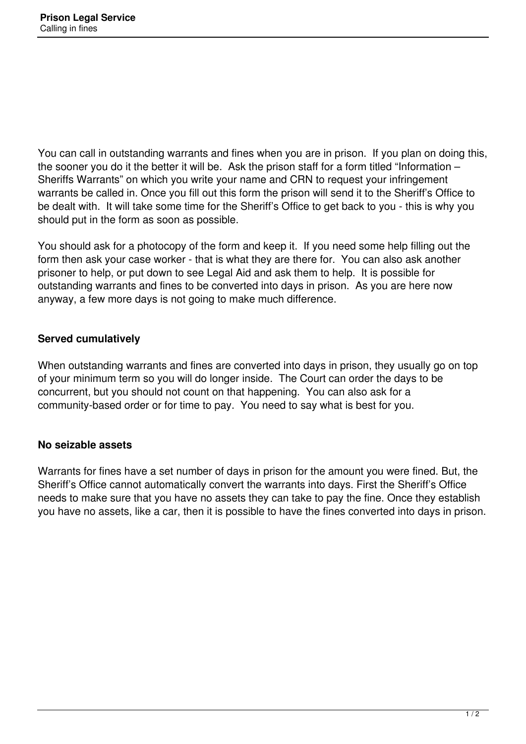You can call in outstanding warrants and fines when you are in prison. If you plan on doing this, the sooner you do it the better it will be. Ask the prison staff for a form titled "Information – Sheriffs Warrants" on which you write your name and CRN to request your infringement warrants be called in. Once you fill out this form the prison will send it to the Sheriff's Office to be dealt with. It will take some time for the Sheriff's Office to get back to you - this is why you should put in the form as soon as possible.

You should ask for a photocopy of the form and keep it. If you need some help filling out the form then ask your case worker - that is what they are there for. You can also ask another prisoner to help, or put down to see Legal Aid and ask them to help. It is possible for outstanding warrants and fines to be converted into days in prison. As you are here now anyway, a few more days is not going to make much difference.

## **Served cumulatively**

When outstanding warrants and fines are converted into days in prison, they usually go on top of your minimum term so you will do longer inside. The Court can order the days to be concurrent, but you should not count on that happening. You can also ask for a community-based order or for time to pay. You need to say what is best for you.

## **No seizable assets**

Warrants for fines have a set number of days in prison for the amount you were fined. But, the Sheriff's Office cannot automatically convert the warrants into days. First the Sheriff's Office needs to make sure that you have no assets they can take to pay the fine. Once they establish you have no assets, like a car, then it is possible to have the fines converted into days in prison.